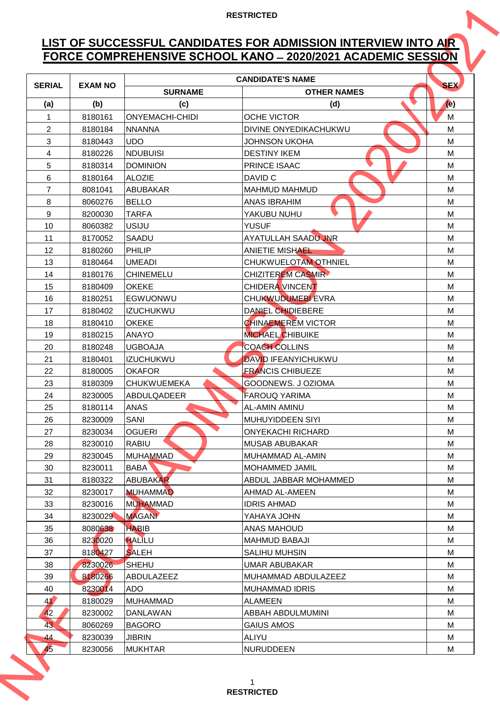# **LIST OF SUCCESSFUL CANDIDATES FOR ADMISSION INTERVIEW INTO AIR FORCE COMPREHENSIVE SCHOOL KANO ̶2020/2021 ACADEMIC SESSION**

|                |                |                        | FORCE COMPREHENSIVE SCHOOL KANO - 2020/2021 ACADEMIC SESSION |            |
|----------------|----------------|------------------------|--------------------------------------------------------------|------------|
| <b>SERIAL</b>  | <b>EXAM NO</b> |                        | <b>CANDIDATE'S NAME</b>                                      | <b>SEX</b> |
| (a)            | (b)            | <b>SURNAME</b><br>(c)  | <b>OTHER NAMES</b><br>(d)                                    | (e)        |
|                | 8180161        | <b>ONYEMACHI-CHIDI</b> | <b>OCHE VICTOR</b>                                           | M          |
| $\overline{2}$ | 8180184        | <b>NNANNA</b>          | DIVINE ONYEDIKACHUKWU                                        | M          |
| 3              | 8180443        | <b>UDO</b>             | JOHNSON UKOHA                                                | M          |
| 4              | 8180226        | <b>NDUBUISI</b>        | <b>DESTINY IKEM</b>                                          | M          |
| 5              | 8180314        | <b>DOMINION</b>        | PRINCE ISAAC                                                 | M          |
| 6              | 8180164        | <b>ALOZIE</b>          | DAVID C                                                      | M          |
| $\overline{7}$ | 8081041        | <b>ABUBAKAR</b>        | <b>MAHMUD MAHMUD</b>                                         | M          |
| 8              | 8060276        | <b>BELLO</b>           | <b>ANAS IBRAHIM</b>                                          | M          |
| 9              | 8200030        | <b>TARFA</b>           | YAKUBU NUHU                                                  | M          |
| 10             | 8060382        | <b>USIJU</b>           | <b>YUSUF</b>                                                 | M          |
| 11             | 8170052        | <b>SAADU</b>           | <b>AYATULLAH SAADU JNR</b>                                   | M          |
| 12             | 8180260        | <b>PHILIP</b>          | ANIETIE MISHAEL                                              | M          |
| 13             | 8180464        | <b>UMEADI</b>          | CHUKWUELOTAM OTHNIEL                                         | M          |
| 14             | 8180176        | <b>CHINEMELU</b>       | <b>CHIZITEREM CASMIR</b>                                     | M          |
| 15             | 8180409        | <b>OKEKE</b>           | <b>CHIDERA VINCENT</b>                                       | M          |
| 16             | 8180251        | EGWUONWU               | CHUKWUDUMEBI EVRA                                            | M          |
| 17             | 8180402        | <b>IZUCHUKWU</b>       | <b>DANIEL CHIDIEBERE</b>                                     | M          |
| 18             | 8180410        | <b>OKEKE</b>           | <b>CHINAEMEREM VICTOR</b>                                    | M          |
| 19             | 8180215        | <b>ANAYO</b>           | <b>MICHAEL CHIBUIKE</b>                                      | M          |
| 20             | 8180248        | <b>UGBOAJA</b>         | <b>COACH COLLINS</b>                                         | M          |
| 21             | 8180401        | <b>IZUCHUKWU</b>       | <b>DAVID IFEANYICHUKWU</b>                                   | M          |
| 22             | 8180005        | <b>OKAFOR</b>          | <b>FRANCIS CHIBUEZE</b>                                      | M          |
| 23             | 8180309        | <b>CHUKWUEMEKA</b>     | GOODNEWS, J OZIOMA                                           | M          |
| 24             | 8230005        | <b>ABDULQADEER</b>     | <b>FAROUQ YARIMA</b>                                         | M          |
| 25             | 8180114        | ANAS                   | AL-AMIN AMINU                                                | M          |
| 26             | 8230009        | SANI                   | MUHUYIDDEEN SIYI                                             | M          |
| 27             | 8230034        | <b>OGUERI</b>          | <b>ONYEKACHI RICHARD</b>                                     | M          |
| 28             | 8230010        | <b>RABIU</b>           | <b>MUSAB ABUBAKAR</b>                                        | M          |
| 29             | 8230045        | <b>MUHAMMAD</b>        | MUHAMMAD AL-AMIN                                             | м          |
| 30             | 8230011        | <b>BABA</b>            | MOHAMMED JAMIL                                               | M          |
| 31             | 8180322        | <b>ABUBAKAR</b>        | ABDUL JABBAR MOHAMMED                                        | M          |
| 32             | 8230017        | <b>MUHAMMAD</b>        | AHMAD AL-AMEEN                                               | M          |
| 33             | 8230016        | <b>MUHAMMAD</b>        | <b>IDRIS AHMAD</b>                                           | M          |
| 34             | 8230029        | <b>MAGANI</b>          | YAHAYA JOHN                                                  | м          |
| 35             | 8080638        | <b>HABIB</b>           | <b>ANAS MAHOUD</b>                                           | M          |
| 36             | 8230020        | <b>HALILU</b>          | <b>MAHMUD BABAJI</b>                                         | M          |
| 37             | 8180427        | <b>SALEH</b>           | <b>SALIHU MUHSIN</b>                                         | M          |
| 38             | 8230026        | <b>SHEHU</b>           | UMAR ABUBAKAR                                                | M          |
| 39             | 8180266        | ABDULAZEEZ             | MUHAMMAD ABDULAZEEZ                                          | м          |
| 40             | 8230014        | ADO                    | <b>MUHAMMAD IDRIS</b>                                        | M          |
| 41             | 8180029        | <b>MUHAMMAD</b>        | <b>ALAMEEN</b>                                               | M          |
| 42             | 8230002        | <b>DANLAWAN</b>        | ABBAH ABDULMUMINI                                            | M          |
| 43             | 8060269        | <b>BAGORO</b>          | <b>GAIUS AMOS</b>                                            | M          |
| 44             | 8230039        | <b>JIBRIN</b>          | <b>ALIYU</b>                                                 | м          |
| 45             | 8230056        | <b>MUKHTAR</b>         | NURUDDEEN                                                    | M          |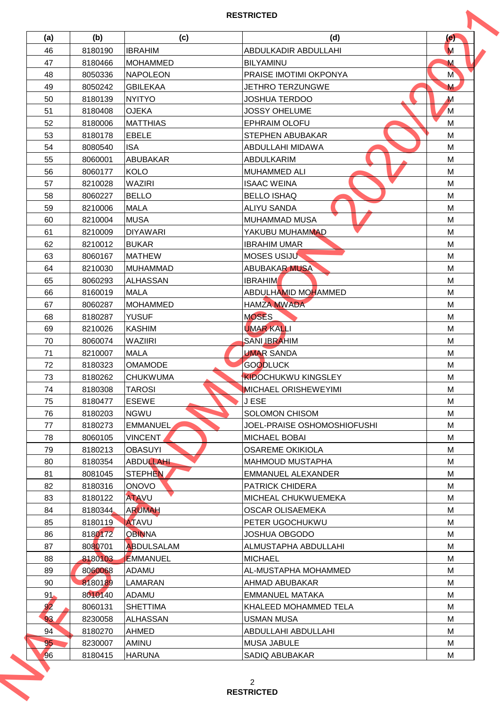| (a)             | (b)                | (c)                    | (d)                         | (e)           |
|-----------------|--------------------|------------------------|-----------------------------|---------------|
| 46              | 8180190            | <b>IBRAHIM</b>         | ABDULKADIR ABDULLAHI        | M             |
| 47              | 8180466            | <b>MOHAMMED</b>        | <b>BILYAMINU</b>            | M             |
| 48              | 8050336            | <b>NAPOLEON</b>        | PRAISE IMOTIMI OKPONYA      | M <sup></sup> |
| 49              | 8050242            | <b>GBILEKAA</b>        | JETHRO TERZUNGWE            | M             |
| 50              | 8180139            | <b>NYITYO</b>          | <b>JOSHUA TERDOO</b>        | $\mathbf M$   |
| 51              | 8180408            | <b>OJEKA</b>           | <b>JOSSY OHELUME</b>        | M             |
| 52              | 8180006            | <b>MATTHIAS</b>        | <b>EPHRAIM OLOFU</b>        | M             |
| 53              | 8180178            | EBELE                  | STEPHEN ABUBAKAR            | M             |
| 54              | 8080540            | <b>ISA</b>             | ABDULLAHI MIDAWA            | M             |
| 55              | 8060001            | <b>ABUBAKAR</b>        | ABDULKARIM                  | M             |
| 56              | 8060177            | <b>KOLO</b>            | <b>MUHAMMED ALI</b>         | M             |
| 57              | 8210028            | <b>WAZIRI</b>          | <b>ISAAC WEINA</b>          | M             |
| 58              | 8060227            | <b>BELLO</b>           | <b>BELLO ISHAQ</b>          | M             |
| 59              | 8210006            | <b>MALA</b>            | <b>ALIYU SANDA</b>          | M             |
| 60              | 8210004            | <b>MUSA</b>            | <b>MUHAMMAD MUSA</b>        | M             |
| 61              | 8210009            | <b>DIYAWARI</b>        | YAKUBU MUHAMMAD             | M             |
| 62              | 8210012            | <b>BUKAR</b>           | <b>IBRAHIM UMAR</b>         | M             |
| 63              | 8060167            | <b>MATHEW</b>          | MOSES USIJU                 | M             |
| 64              | 8210030            | <b>MUHAMMAD</b>        | <b>ABUBAKAR MUSA</b>        | M             |
| 65              | 8060293            | <b>ALHASSAN</b>        | <b>IBRAHIM</b>              | M             |
| 66              | 8160019            | <b>MALA</b>            | ABDULHAMID MOHAMMED         | M             |
| 67              | 8060287            | <b>MOHAMMED</b>        | <b>HAMZA MWADA</b>          | M             |
| 68              | 8180287            | <b>YUSUF</b>           | <b>MOSES</b>                | M             |
| 69              | 8210026            | <b>KASHIM</b>          | <b>UMAR KALLI</b>           | M             |
| 70              | 8060074            | <b>WAZIIRI</b>         | <b>SANI IBRAHIM</b>         | M             |
| 71              | 8210007            | <b>MALA</b>            | <b>UMAR SANDA</b>           | M             |
| 72              | 8180323            | <b>OMAMODE</b>         | <b>GOODLUCK</b>             | M             |
| 73              | 8180262            | <b>CHUKWUMA</b>        | <b>KIDOCHUKWU KINGSLEY</b>  | M             |
| 74              | 8180308            | <b>TAROSI</b>          | MICHAEL ORISHEWEYIMI        | M             |
| 75              | 8180477            | <b>ESEWE</b>           | <b>JESE</b>                 | M             |
| 76              | 8180203            | <b>NGWU</b>            | SOLOMON CHISOM              | M             |
| 77              | 8180273            | EMMANUEL,              | JOEL-PRAISE OSHOMOSHIOFUSHI | м             |
| 78              | 8060105            | VINCENT                | <b>MICHAEL BOBAI</b>        | M             |
| 79              | 8180213            | <b>OBASUYI</b>         | <b>OSAREME OKIKIOLA</b>     | M             |
| 80              | 8180354            | <b>ABDULLAHI</b>       | <b>MAHMOUD MUSTAPHA</b>     | M             |
| 81              | 8081045            | STEPHEN                | <b>EMMANUEL ALEXANDER</b>   | M             |
| 82              | 8180316            | <b>ONOVO</b>           | <b>PATRICK CHIDERA</b>      | м             |
| 83              | 8180122            | <b>ATAVU</b>           | MICHEAL CHUKWUEMEKA         | M             |
| 84              | 8180344            | <b>ARUMAH</b>          | OSCAR OLISAEMEKA            | M             |
| 85              | 8180119            | <b>ATAVU</b>           | PETER UGOCHUKWU             | M             |
| 86              | 8180172            | <b>OBINNA</b>          | JOSHUA OBGODO               | M             |
| 87              | 8080701            | <b>ABDULSALAM</b>      | ALMUSTAPHA ABDULLAHI        | м             |
| 88              | 8180103            | <b>EMMANUEL</b>        | <b>MICHAEL</b>              | M             |
| 89              | 8060068            | ADAMU                  | AL-MUSTAPHA MOHAMMED        | M             |
|                 | 8180189            |                        | AHMAD ABUBAKAR              |               |
| 90              |                    | <b>LAMARAN</b>         |                             | M             |
| 91 <sub>•</sub> | 8010140            | ADAMU                  | EMMANUEL MATAKA             | M             |
| 92              | 8060131            | <b>SHETTIMA</b>        | KHALEED MOHAMMED TELA       | м             |
| 93              | 8230058            | <b>ALHASSAN</b>        | <b>USMAN MUSA</b>           | M             |
| 94              | 8180270            | AHMED                  | ABDULLAHI ABDULLAHI         | M             |
| 95              | 8230007<br>8180415 | AMINU<br><b>HARUNA</b> | <b>MUSA JABULE</b>          | M<br>M        |
| 96              |                    |                        | SADIQ ABUBAKAR              |               |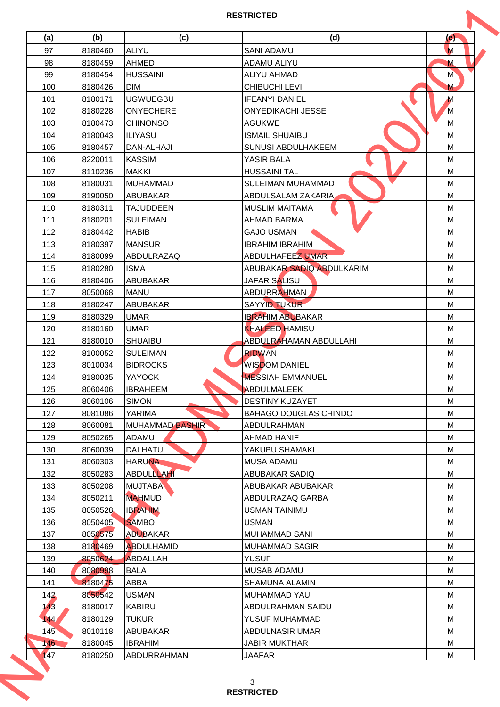| (a) | (b)     | (c)                    | (d)                           | (e)           |
|-----|---------|------------------------|-------------------------------|---------------|
| 97  | 8180460 | <b>ALIYU</b>           | <b>SANI ADAMU</b>             | M             |
| 98  | 8180459 | <b>AHMED</b>           | <b>ADAMU ALIYU</b>            | M             |
| 99  | 8180454 | <b>HUSSAINI</b>        | <b>ALIYU AHMAD</b>            | M <sup></sup> |
| 100 | 8180426 | <b>DIM</b>             | <b>CHIBUCHI LEVI</b>          | M             |
| 101 | 8180171 | <b>UGWUEGBU</b>        | <b>IFEANYI DANIEL</b>         | $\mathbf M$   |
| 102 | 8180228 | <b>ONYECHERE</b>       | <b>ONYEDIKACHI JESSE</b>      | M             |
| 103 | 8180473 | <b>CHINONSO</b>        | <b>AGUKWE</b>                 | M             |
| 104 | 8180043 | <b>ILIYASU</b>         | <b>ISMAIL SHUAIBU</b>         | M             |
| 105 | 8180457 | <b>DAN-ALHAJI</b>      | SUNUSI ABDULHAKEEM            | M             |
| 106 | 8220011 | <b>KASSIM</b>          | YASIR BALA                    | M             |
| 107 |         | <b>MAKKI</b>           | <b>HUSSAINI TAL</b>           | M             |
|     | 8110236 |                        |                               |               |
| 108 | 8180031 | <b>MUHAMMAD</b>        | SULEIMAN MUHAMMAD             | M             |
| 109 | 8190050 | <b>ABUBAKAR</b>        | ABDULSALAM ZAKARIA            | M             |
| 110 | 8180311 | <b>TAJUDDEEN</b>       | <b>MUSLIM MAITAMA</b>         | M             |
| 111 | 8180201 | <b>SULEIMAN</b>        | <b>AHMAD BARMA</b>            | M             |
| 112 | 8180442 | <b>HABIB</b>           | <b>GAJO USMAN</b>             | M             |
| 113 | 8180397 | <b>MANSUR</b>          | <b>IBRAHIM IBRAHIM</b>        | M             |
| 114 | 8180099 | <b>ABDULRAZAQ</b>      | <b>ABDULHAFEEZ UMAR</b>       | M             |
| 115 | 8180280 | <b>ISMA</b>            | ABUBAKAR SADIQ ABDULKARIM     | M             |
| 116 | 8180406 | ABUBAKAR               | JAFAR SALISU                  | M             |
| 117 | 8050068 | <b>MANU</b>            | <b>ABDURRAHMAN</b>            | M             |
| 118 | 8180247 | ABUBAKAR               | <b>SAYYID TUKUR</b>           | M             |
| 119 | 8180329 | <b>UMAR</b>            | <b>IBRAHIM ABUBAKAR</b>       | M             |
| 120 | 8180160 | <b>UMAR</b>            | <b>KHALEED HAMISU</b>         | M             |
| 121 | 8180010 | <b>SHUAIBU</b>         | <b>ABDULRAHAMAN ABDULLAHI</b> | M             |
| 122 | 8100052 | <b>SULEIMAN</b>        | <b>RIDWAN</b>                 | M             |
| 123 | 8010034 | <b>BIDROCKS</b>        | <b>WISDOM DANIEL</b>          | M             |
| 124 | 8180035 | <b>YAYOCK</b>          | <b>MESSIAH EMMANUEL</b>       | M             |
| 125 | 8060406 | <b>IBRAHEEM</b>        | ABDULMALEEK                   | M             |
| 126 | 8060106 | <b>SIMON</b>           | <b>DESTINY KUZAYET</b>        | M             |
| 127 | 8081086 | YARIMA                 | <b>BAHAGO DOUGLAS CHINDO</b>  | M             |
| 128 | 8060081 | <b>MUHAMMAD BASHIR</b> | ABDULRAHMAN                   | м             |
| 129 | 8050265 | ADAMU                  | <b>AHMAD HANIF</b>            | M             |
| 130 | 8060039 | DALHATU                | YAKUBU SHAMAKI                | M             |
|     |         |                        |                               |               |
| 131 | 8060303 | <b>HARUNA</b>          | MUSA ADAMU                    | M             |
| 132 | 8050283 | <b>ABDULLLAHI</b>      | ABUBAKAR SADIQ                | M             |
| 133 | 8050208 | <b>MUJTABA</b>         | ABUBAKAR ABUBAKAR             | м             |
| 134 | 8050211 | <b>MAHMUD</b>          | ABDULRAZAQ GARBA              | M             |
| 135 | 8050528 | <b>IBRAHIM</b>         | USMAN TAINIMU                 | M             |
| 136 | 8050405 | <b>SAMBO</b>           | <b>USMAN</b>                  | M             |
| 137 | 8050575 | <b>ABUBAKAR</b>        | <b>MUHAMMAD SANI</b>          | M             |
| 138 | 8180469 | <b>ABDULHAMID</b>      | <b>MUHAMMAD SAGIR</b>         | м             |
| 139 | 8050624 | <b>ABDALLAH</b>        | <b>YUSUF</b>                  | M             |
| 140 | 8080998 | BALA                   | <b>MUSAB ADAMU</b>            | M             |
| 141 | 8180475 | ABBA                   | SHAMUNA ALAMIN                | M             |
| 142 | 8050542 | <b>USMAN</b>           | MUHAMMAD YAU                  | M             |
| 143 | 8180017 | KABIRU                 | ABDULRAHMAN SAIDU             | М             |
| 144 | 8180129 | <b>TUKUR</b>           | YUSUF MUHAMMAD                | M             |
| 145 | 8010118 | ABUBAKAR               | ABDULNASIR UMAR               | M             |
|     | 8180045 | <b>IBRAHIM</b>         | <b>JABIR MUKTHAR</b>          | M             |
| 146 |         |                        |                               | M             |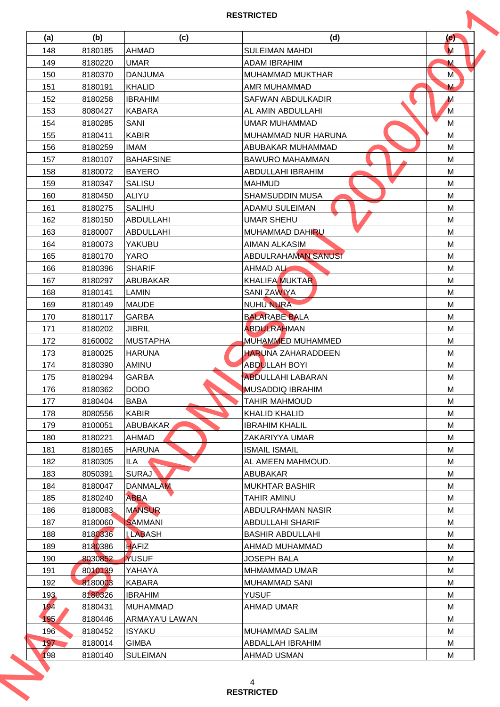| (a) | (b)     | (c)              | (d)                        | (e)           |
|-----|---------|------------------|----------------------------|---------------|
| 148 | 8180185 | <b>AHMAD</b>     | <b>SULEIMAN MAHDI</b>      | M             |
| 149 | 8180220 | <b>UMAR</b>      | <b>ADAM IBRAHIM</b>        | M             |
| 150 | 8180370 | <b>DANJUMA</b>   | MUHAMMAD MUKTHAR           | M <sup></sup> |
| 151 | 8180191 | <b>KHALID</b>    | AMR MUHAMMAD               | M             |
|     |         |                  |                            |               |
| 152 | 8180258 | <b>IBRAHIM</b>   | <b>SAFWAN ABDULKADIR</b>   | $\mathbf M$   |
| 153 | 8080427 | <b>KABARA</b>    | AL AMIN ABDULLAHI          | M             |
| 154 | 8180285 | <b>SANI</b>      | <b>UMAR MUHAMMAD</b>       | M             |
| 155 | 8180411 | <b>KABIR</b>     | MUHAMMAD NUR HARUNA        | M             |
| 156 | 8180259 | <b>IMAM</b>      | ABUBAKAR MUHAMMAD          | M             |
| 157 | 8180107 | <b>BAHAFSINE</b> | <b>BAWURO MAHAMMAN</b>     | M             |
| 158 | 8180072 | <b>BAYERO</b>    | ABDULLAHI IBRAHIM          | M             |
| 159 | 8180347 | <b>SALISU</b>    | <b>MAHMUD</b>              | M             |
| 160 | 8180450 | <b>ALIYU</b>     | <b>SHAMSUDDIN MUSA</b>     | M             |
| 161 | 8180275 | <b>SALIHU</b>    | <b>ADAMU SULEIMAN</b>      | M             |
| 162 | 8180150 | <b>ABDULLAHI</b> | <b>UMAR SHEHU</b>          | M             |
| 163 | 8180007 | <b>ABDULLAHI</b> | MUHAMMAD DAHIRU            | M             |
| 164 | 8180073 | YAKUBU           | <b>AIMAN ALKASIM</b>       | M             |
| 165 | 8180170 | <b>YARO</b>      | <b>ABDULRAHAMAN SANUSI</b> | M             |
| 166 | 8180396 | <b>SHARIF</b>    | <b>AHMAD ALL</b>           | M             |
| 167 | 8180297 | ABUBAKAR         | <b>KHALIFA MUKTAR</b>      | M             |
| 168 | 8180141 | <b>LAMIN</b>     | <b>SANI ZAWIYA</b>         | M             |
| 169 | 8180149 | <b>MAUDE</b>     | <b>NUHU NURA</b>           | M             |
| 170 | 8180117 | <b>GARBA</b>     | <b>BALARABE BALA</b>       | M             |
| 171 | 8180202 | <b>JIBRIL</b>    | <b>ABDULRAHMAN</b>         | M             |
| 172 | 8160002 | <b>MUSTAPHA</b>  | <b>MUHAMMED MUHAMMED</b>   | M             |
| 173 | 8180025 | <b>HARUNA</b>    | <b>HARUNA ZAHARADDEEN</b>  | M             |
| 174 | 8180390 | AMINU            | <b>ABDULLAH BOYI</b>       | M             |
| 175 | 8180294 | <b>GARBA</b>     | <b>ABDULLAHI LABARAN</b>   | M             |
|     | 8180362 | <b>DODO</b>      | <b>MUSADDIQ IBRAHIM</b>    |               |
| 176 |         |                  |                            | M             |
| 177 | 8180404 | BABA             | <b>TAHIR MAHMOUD</b>       | M             |
| 178 | 8080556 | <b>KABIR</b>     | <b>KHALID KHALID</b>       | M             |
| 179 | 8100051 | ABUBAKAR         | <b>IBRAHIM KHALIL</b>      | м             |
| 180 | 8180221 | <b>AHMAD</b>     | ZAKARIYYA UMAR             | M             |
| 181 | 8180165 | <b>HARUNA</b>    | <b>ISMAIL ISMAIL</b>       | M             |
| 182 | 8180305 | ILA              | AL AMEEN MAHMOUD.          | M             |
| 183 | 8050391 | <b>SURAJ</b>     | <b>ABUBAKAR</b>            | M             |
| 184 | 8180047 | <b>DANMALAM</b>  | <b>MUKHTAR BASHIR</b>      | м             |
| 185 | 8180240 | <b>ABBA</b>      | TAHIR AMINU                | M             |
| 186 | 8180083 | <b>MANSUR</b>    | ABDULRAHMAN NASIR          | M             |
| 187 | 8180060 | <b>SAMMANI</b>   | <b>ABDULLAHI SHARIF</b>    | M             |
| 188 | 8180336 | <b>LLABASH</b>   | <b>BASHIR ABDULLAHI</b>    | M             |
| 189 | 8180386 | HAFIZ            | AHMAD MUHAMMAD             | м             |
| 190 | 8030852 | YUSUF            | <b>JOSEPH BALA</b>         | M             |
| 191 | 8010139 | YAHAYA           | <b>MHMAMMAD UMAR</b>       | M             |
| 192 | 8180003 | <b>KABARA</b>    | MUHAMMAD SANI              | M             |
| 193 | 8180326 | <b>IBRAHIM</b>   | <b>YUSUF</b>               | M             |
| 194 | 8180431 | <b>MUHAMMAD</b>  | AHMAD UMAR                 | М             |
| 195 | 8180446 | ARMAYA'U LAWAN   |                            | M             |
| 196 | 8180452 | ISYAKU           | <b>MUHAMMAD SALIM</b>      | M             |
|     | 8180014 | <b>GIMBA</b>     | ABDALLAH IBRAHIM           | M             |
| 197 |         |                  |                            |               |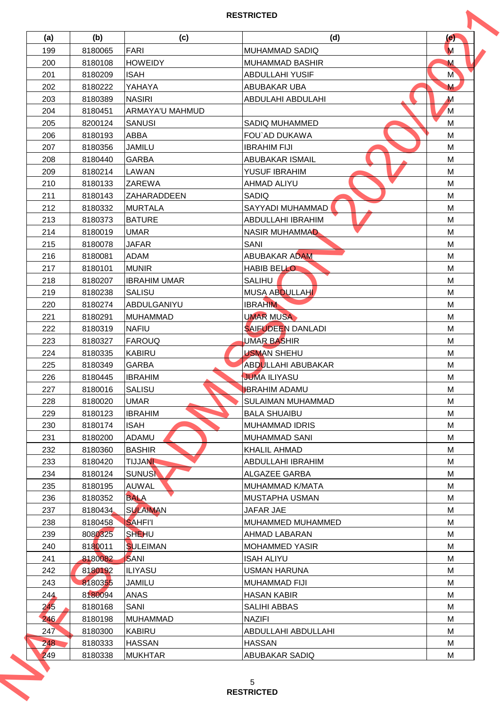| (a) | (b)     | (c)                    | (d)                       | (e)<br>M      |
|-----|---------|------------------------|---------------------------|---------------|
| 199 | 8180065 | <b>FARI</b>            | <b>MUHAMMAD SADIQ</b>     |               |
| 200 | 8180108 | <b>HOWEIDY</b>         | <b>MUHAMMAD BASHIR</b>    | M             |
| 201 | 8180209 | <b>ISAH</b>            | <b>ABDULLAHI YUSIF</b>    | M <sup></sup> |
| 202 | 8180222 | YAHAYA                 | ABUBAKAR UBA              | M             |
| 203 | 8180389 | <b>NASIRI</b>          | ABDULAHI ABDULAHI         | $\mathbf M$   |
| 204 | 8180451 | <b>ARMAYA'U MAHMUD</b> |                           | M             |
| 205 | 8200124 | <b>SANUSI</b>          | SADIQ MUHAMMED            | M             |
| 206 | 8180193 | <b>ABBA</b>            | FOU`AD DUKAWA             | M             |
| 207 | 8180356 | <b>JAMILU</b>          | <b>IBRAHIM FIJI</b>       | M             |
| 208 | 8180440 | <b>GARBA</b>           | <b>ABUBAKAR ISMAIL</b>    | M             |
| 209 | 8180214 | LAWAN                  | YUSUF IBRAHIM             | M             |
| 210 | 8180133 | ZAREWA                 | AHMAD ALIYU               | M             |
| 211 | 8180143 | ZAHARADDEEN            | <b>SADIQ</b>              | M             |
| 212 | 8180332 | <b>MURTALA</b>         | SAYYADI MUHAMMAD          | M             |
| 213 | 8180373 | <b>BATURE</b>          | ABDULLAHI IBRAHIM         | M             |
| 214 | 8180019 | <b>UMAR</b>            | NASIR MUHAMMAD            | M             |
| 215 | 8180078 | JAFAR                  | SANI                      | M             |
| 216 | 8180081 | <b>ADAM</b>            | <b>ABUBAKAR ADAM</b>      | M             |
| 217 | 8180101 | <b>MUNIR</b>           | <b>HABIB BELLO</b>        | M             |
| 218 | 8180207 | <b>IBRAHIM UMAR</b>    | <b>SALIHU</b>             | M             |
| 219 | 8180238 | <b>SALISU</b>          | MUSA ABDULLAHI            | M             |
| 220 | 8180274 | ABDULGANIYU            | <b>IBRAHIM</b>            | M             |
| 221 | 8180291 | <b>MUHAMMAD</b>        | <b>UMAR MUSA</b>          | M             |
| 222 | 8180319 | <b>NAFIU</b>           | <b>SAIFUDEEN DANLADI</b>  | M             |
| 223 | 8180327 | <b>FAROUQ</b>          | <b>UMAR BASHIR</b>        | M             |
| 224 | 8180335 | <b>KABIRU</b>          | <b>USMAN SHEHU</b>        | M             |
| 225 | 8180349 | <b>GARBA</b>           | <b>ABDULLAHI ABUBAKAR</b> | M             |
| 226 | 8180445 | <b>IBRAHIM</b>         | <b>JUMA ILIYASU</b>       | M             |
| 227 | 8180016 | <b>SALISU</b>          | <b>IBRAHIM ADAMU</b>      | M             |
| 228 | 8180020 | <b>UMAR</b>            | <b>SULAIMAN MUHAMMAD</b>  | M             |
| 229 | 8180123 | <b>IBRAHIM</b>         | <b>BALA SHUAIBU</b>       | M             |
| 230 | 8180174 | ISAH                   | <b>MUHAMMAD IDRIS</b>     | М             |
| 231 | 8180200 | ADAMU                  | <b>MUHAMMAD SANI</b>      | M             |
| 232 | 8180360 | <b>BASHIR</b>          | <b>KHALIL AHMAD</b>       | M             |
| 233 | 8180420 | <b>TIJJANN</b>         | ABDULLAHI IBRAHIM         | M             |
|     |         | <b>SUNUSK</b>          |                           | M             |
| 234 | 8180124 |                        | ALGAZEE GARBA             |               |
| 235 | 8180195 | AUWAL                  | MUHAMMAD K/MATA           | м             |
| 236 | 8180352 | <b>BALA</b>            | MUSTAPHA USMAN            | M             |
| 237 | 8180434 | <b>SULAIMAN</b>        | <b>JAFAR JAE</b>          | M             |
| 238 | 8180458 | <b>SAHFI'I</b>         | MUHAMMED MUHAMMED         | M             |
| 239 | 8080325 | SHEHU                  | AHMAD LABARAN             | M             |
| 240 | 8180011 | <b>SULEIMAN</b>        | <b>MOHAMMED YASIR</b>     | M             |
| 241 | 8180082 | SANI                   | <b>ISAH ALIYU</b>         | M             |
| 242 | 8180192 | ILIYASU                | <b>USMAN HARUNA</b>       | M             |
| 243 | 8180355 | <b>JAMILU</b>          | MUHAMMAD FIJI             | M             |
| 244 | 8180094 | <b>ANAS</b>            | <b>HASAN KABIR</b>        | M             |
| 245 | 8180168 | SANI                   | SALIHI ABBAS              | М             |
| 246 | 8180198 | <b>MUHAMMAD</b>        | <b>NAZIFI</b>             | M             |
| 247 | 8180300 | <b>KABIRU</b>          | ABDULLAHI ABDULLAHI       | M             |
| 248 | 8180333 | <b>HASSAN</b>          | <b>HASSAN</b>             | M             |
| 249 | 8180338 | <b>MUKHTAR</b>         | <b>ABUBAKAR SADIQ</b>     | M             |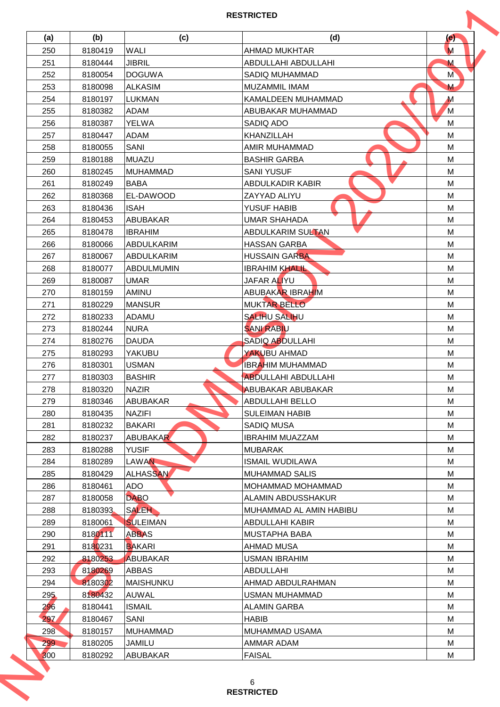| (a) | (b)                | (c)                       | (d)                         | (e)           |
|-----|--------------------|---------------------------|-----------------------------|---------------|
| 250 | 8180419            | <b>WALI</b>               | <b>AHMAD MUKHTAR</b>        | M             |
| 251 | 8180444            | <b>JIBRIL</b>             | ABDULLAHI ABDULLAHI         | M             |
| 252 | 8180054            | <b>DOGUWA</b>             | SADIQ MUHAMMAD              | M <sup></sup> |
| 253 | 8180098            | <b>ALKASIM</b>            | MUZAMMIL IMAM               | M             |
| 254 | 8180197            | <b>LUKMAN</b>             | KAMALDEEN MUHAMMAD          | $\mathbf M$   |
| 255 | 8180382            | <b>ADAM</b>               | ABUBAKAR MUHAMMAD           | M             |
| 256 | 8180387            | <b>YELWA</b>              | SADIO ADO                   | M             |
| 257 | 8180447            | <b>ADAM</b>               | KHANZILLAH                  | M             |
| 258 | 8180055            | SANI                      | AMIR MUHAMMAD               | M             |
| 259 | 8180188            | MUAZU                     | <b>BASHIR GARBA</b>         | M             |
| 260 | 8180245            | <b>MUHAMMAD</b>           |                             | M             |
|     |                    |                           | <b>SANI YUSUF</b>           |               |
| 261 | 8180249            | <b>BABA</b>               | ABDULKADIR KABIR            | M             |
| 262 | 8180368            | EL-DAWOOD                 | ZAYYAD ALIYU                | M             |
| 263 | 8180436            | <b>ISAH</b>               | YUSUF HABIB                 | M             |
| 264 | 8180453            | <b>ABUBAKAR</b>           | <b>UMAR SHAHADA</b>         | M             |
| 265 | 8180478            | <b>IBRAHIM</b>            | <b>ABDULKARIM SULTAN</b>    | M             |
| 266 | 8180066            | ABDULKARIM                | <b>HASSAN GARBA</b>         | M             |
| 267 | 8180067            | ABDULKARIM                | <b>HUSSAIN GARBA</b>        | M             |
| 268 | 8180077            | <b>ABDULMUMIN</b>         | <b>IBRAHIM KHALIL</b>       | M             |
| 269 | 8180087            | <b>UMAR</b>               | JAFAR ALIYU                 | M             |
| 270 | 8180159            | AMINU                     | <b>ABUBAKAR IBRAHIM</b>     | M             |
| 271 | 8180229            | <b>MANSUR</b>             | <b>MUKTAR BELLO</b>         | M             |
| 272 | 8180233            | <b>ADAMU</b>              | <b>SALIHU SALIHU</b>        | M             |
| 273 | 8180244            | <b>NURA</b>               | <b>SANI RABIU</b>           | M             |
| 274 | 8180276            | <b>DAUDA</b>              | <b>SADIQ ABDULLAHI</b>      | M             |
| 275 | 8180293            | YAKUBU                    | YAKUBU AHMAD                | M             |
| 276 | 8180301            | <b>USMAN</b>              | <b>IBRAHIM MUHAMMAD</b>     | M             |
| 277 | 8180303            | <b>BASHIR</b>             | <b>ABDULLAHI ABDULLAHI</b>  | M             |
| 278 | 8180320            | <b>NAZIR</b>              | ABUBAKAR ABUBAKAR           | M             |
| 279 | 8180346            | <b>ABUBAKAR</b>           | ABDULLAHI BELLO             | M             |
| 280 | 8180435            | <b>NAZIFI</b>             | <b>SULEIMAN HABIB</b>       | M             |
| 281 | 8180232            | <b>BAKARI</b>             | SADIQ MUSA                  | м             |
| 282 | 8180237            | <b>ABUBAKAR</b>           | <b>IBRAHIM MUAZZAM</b>      | M             |
| 283 | 8180288            | <b>YUSIF</b>              | <b>MUBARAK</b>              | M             |
| 284 | 8180289            | <b>LAWAN</b>              | <b>ISMAIL WUDILAWA</b>      | M             |
| 285 | 8180429            | <b>ALHASSAN</b>           | <b>MUHAMMAD SALIS</b>       | M             |
| 286 | 8180461            | ADO                       | MOHAMMAD MOHAMMAD           | м             |
| 287 | 8180058            | <b>DABO</b>               | ALAMIN ABDUSSHAKUR          | M             |
| 288 | 8180393            | <b>SALEH</b>              | MUHAMMAD AL AMIN HABIBU     | M             |
| 289 | 8180061            | <b>SULEIMAN</b>           | ABDULLAHI KABIR             | M             |
| 290 | 8180111            | <b>ABBAS</b>              | <b>MUSTAPHA BABA</b>        | M             |
| 291 | 8180231            | <b>BAKARI</b>             | AHMAD MUSA                  | М             |
| 292 | 8180253            | <b>ABUBAKAR</b>           | USMAN IBRAHIM               | M             |
| 293 | 8180269            | ABBAS                     | ABDULLAHI                   | M             |
| 294 | 8180302            | MAISHUNKU                 | AHMAD ABDULRAHMAN           | M             |
| 295 | 8180432            | <b>AUWAL</b>              | USMAN MUHAMMAD              | M             |
| 296 | 8180441            | <b>ISMAIL</b>             | <b>ALAMIN GARBA</b>         | м             |
| 297 | 8180467            | SANI                      | <b>HABIB</b>                | M             |
| 298 |                    | <b>MUHAMMAD</b>           | MUHAMMAD USAMA              | M             |
|     | 8180157            |                           |                             |               |
| 299 | 8180205<br>8180292 | <b>JAMILU</b><br>ABUBAKAR | AMMAR ADAM<br><b>FAISAL</b> | M<br>M        |
| 300 |                    |                           |                             |               |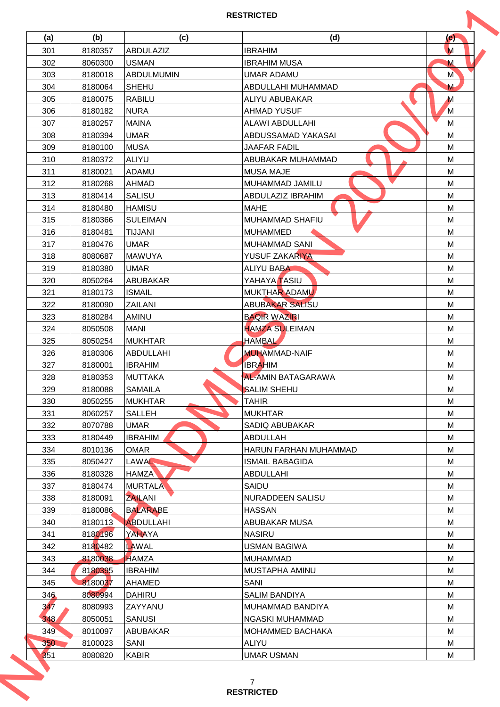| (a)        | (b)     | (c)               | (d)                          | (e)           |
|------------|---------|-------------------|------------------------------|---------------|
| 301        | 8180357 | <b>ABDULAZIZ</b>  | <b>IBRAHIM</b>               | M             |
| 302        | 8060300 | <b>USMAN</b>      | <b>IBRAHIM MUSA</b>          | M             |
| 303        | 8180018 | <b>ABDULMUMIN</b> | UMAR ADAMU                   | M <sup></sup> |
| 304        | 8180064 | <b>SHEHU</b>      | ABDULLAHI MUHAMMAD           | M             |
| 305        | 8180075 | <b>RABILU</b>     | ALIYU ABUBAKAR               | $\mathbf M$   |
| 306        | 8180182 | <b>NURA</b>       | <b>AHMAD YUSUF</b>           | M             |
| 307        | 8180257 | <b>MAINA</b>      | ALAWI ABDULLAHI              | M             |
| 308        | 8180394 | <b>UMAR</b>       | ABDUSSAMAD YAKASAI           | M             |
| 309        | 8180100 | <b>MUSA</b>       | JAAFAR FADIL                 | M             |
| 310        | 8180372 | <b>ALIYU</b>      | ABUBAKAR MUHAMMAD            | M             |
| 311        | 8180021 | <b>ADAMU</b>      | <b>MUSA MAJE</b>             | M             |
| 312        | 8180268 | <b>AHMAD</b>      | MUHAMMAD JAMILU              | M             |
| 313        | 8180414 | <b>SALISU</b>     | <b>ABDULAZIZ IBRAHIM</b>     | M             |
| 314        | 8180480 | <b>HAMISU</b>     | <b>MAHE</b>                  | M             |
| 315        | 8180366 | <b>SULEIMAN</b>   | <b>MUHAMMAD SHAFIU</b>       | M             |
| 316        | 8180481 | <b>TIJJANI</b>    | <b>MUHAMMED</b>              | M             |
| 317        | 8180476 | <b>UMAR</b>       | MUHAMMAD SANI                | M             |
| 318        | 8080687 | <b>MAWUYA</b>     | YUSUF ZAKARIYA               | M             |
| 319        | 8180380 | <b>UMAR</b>       | <b>ALIYU BABA</b>            | M             |
| 320        | 8050264 | <b>ABUBAKAR</b>   | YAHAYA TASIU                 | M             |
| 321        | 8180173 | <b>ISMAIL</b>     | MUKTHAR ADAMU                | M             |
| 322        | 8180090 | ZAILANI           | <b>ABUBAKAR SALISU</b>       | M             |
| 323        | 8180284 | AMINU             | <b>BAQIR WAZIRI</b>          | M             |
| 324        | 8050508 | <b>MANI</b>       | <b>HAMZA SULEIMAN</b>        | M             |
| 325        | 8050254 | <b>MUKHTAR</b>    | <b>HAMBAL</b>                | M             |
| 326        | 8180306 | ABDULLAHI         | <b>MUHAMMAD-NAIF</b>         | M             |
| 327        | 8180001 | <b>IBRAHIM</b>    | <b>IBRAHIM</b>               | M             |
| 328        | 8180353 | <b>MUTTAKA</b>    | <b>AL-AMIN BATAGARAWA</b>    | M             |
| 329        | 8180088 | <b>SAMAILA</b>    | <b>SALIM SHEHU</b>           | M             |
| 330        | 8050255 | <b>MUKHTAR</b>    | <b>TAHIR</b>                 | M             |
| 331        | 8060257 | SALLEH            | <b>MUKHTAR</b>               | M             |
| 332        | 8070788 | UMAR              | SADIQ ABUBAKAR               | м             |
| 333        | 8180449 | <b>IBRAHIM</b>    | ABDULLAH                     | M             |
| 334        | 8010136 | <b>OMAR</b>       | <b>HARUN FARHAN MUHAMMAD</b> | M             |
| 335        | 8050427 | <b>LAWAL</b>      | <b>ISMAIL BABAGIDA</b>       | M             |
| 336        | 8180328 | <b>HAMZA</b>      | ABDULLAHI                    | M             |
| 337        | 8180474 | <b>MURTALA</b>    | SAIDU                        | м             |
| 338        | 8180091 | <b>ZAILANI</b>    | NURADDEEN SALISU             | M             |
| 339        | 8180086 | <b>BALARABE</b>   | <b>HASSAN</b>                | M             |
| 340        | 8180113 | <b>ABDULLAHI</b>  | <b>ABUBAKAR MUSA</b>         | M             |
| 341        | 8180196 | YAHAYA            | <b>NASIRU</b>                | M             |
| 342        | 8180482 | LAWAL             | USMAN BAGIWA                 | м             |
| 343        | 8180038 | <b>HAMZA</b>      | <b>MUHAMMAD</b>              | M             |
| 344        | 8180395 | <b>IBRAHIM</b>    | MUSTAPHA AMINU               | M             |
|            | 8180037 |                   | SANI                         |               |
| 345        | 8080994 | AHAMED            | <b>SALIM BANDIYA</b>         | M<br>M        |
| 346<br>347 |         | <b>DAHIRU</b>     |                              |               |
|            | 8080993 | ZAYYANU           | MUHAMMAD BANDIYA             | м             |
| 348        | 8050051 | <b>SANUSI</b>     | NGASKI MUHAMMAD              | M             |
| 349        | 8010097 | <b>ABUBAKAR</b>   | MOHAMMED BACHAKA             | M             |
| 350        | 8100023 | SANI              | <b>ALIYU</b>                 | M             |
| 351        | 8080820 | <b>KABIR</b>      | <b>UMAR USMAN</b>            | M             |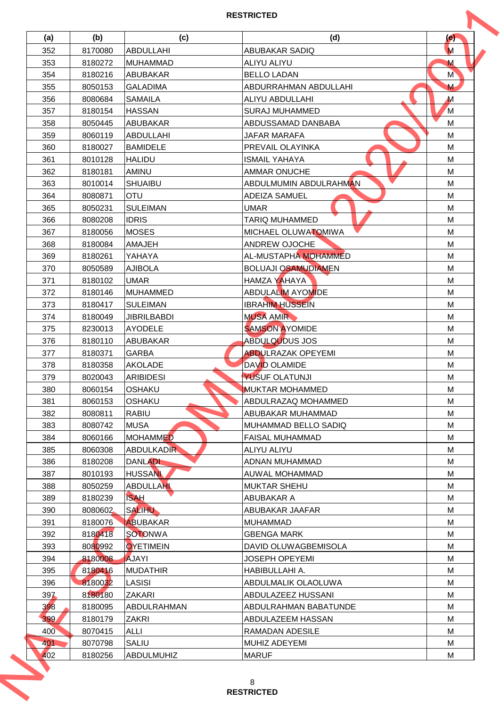| (a) | (b)     | (c)                | (d)                        | (e)           |
|-----|---------|--------------------|----------------------------|---------------|
| 352 | 8170080 | <b>ABDULLAHI</b>   | <b>ABUBAKAR SADIQ</b>      | M             |
| 353 | 8180272 | <b>MUHAMMAD</b>    | ALIYU ALIYU                | M             |
| 354 | 8180216 | <b>ABUBAKAR</b>    | <b>BELLO LADAN</b>         | M <sup></sup> |
| 355 | 8050153 | <b>GALADIMA</b>    | ABDURRAHMAN ABDULLAHI      | M             |
| 356 | 8080684 | <b>SAMAILA</b>     | ALIYU ABDULLAHI            | $\mathbf M$   |
| 357 | 8180154 | <b>HASSAN</b>      | <b>SURAJ MUHAMMED</b>      | M             |
| 358 | 8050445 | <b>ABUBAKAR</b>    | ABDUSSAMAD DANBABA         | M             |
| 359 | 8060119 | <b>ABDULLAHI</b>   | JAFAR MARAFA               | M             |
| 360 | 8180027 | <b>BAMIDELE</b>    | PREVAIL OLAYINKA           | M             |
| 361 | 8010128 | <b>HALIDU</b>      | <b>ISMAIL YAHAYA</b>       | M             |
| 362 | 8180181 | AMINU              | <b>AMMAR ONUCHE</b>        | M             |
| 363 | 8010014 | <b>SHUAIBU</b>     | ABDULMUMIN ABDULRAHMAN     | M             |
| 364 | 8080871 | OTU                | <b>ADEIZA SAMUEL</b>       | M             |
| 365 | 8050231 | <b>SULEIMAN</b>    | <b>UMAR</b>                | M             |
| 366 | 8080208 | <b>IDRIS</b>       | <b>TARIQ MUHAMMED</b>      | M             |
| 367 | 8180056 | <b>MOSES</b>       | MICHAEL OLUWATOMIWA        | M             |
| 368 | 8180084 | <b>AMAJEH</b>      | <b>ANDREW OJOCHE</b>       | M             |
| 369 | 8180261 | YAHAYA             | AL-MUSTAPHA MOHAMMED       | M             |
| 370 | 8050589 | <b>AJIBOLA</b>     | <b>BOLUAJI OSAMUDIAMEN</b> | M             |
| 371 | 8180102 | <b>UMAR</b>        | <b>HAMZA YAHAYA</b>        | M             |
| 372 | 8180146 | <b>MUHAMMED</b>    | <b>ABDULALIM AYOMIDE</b>   | M             |
| 373 | 8180417 | <b>SULEIMAN</b>    | <b>IBRAHIM HUSSEIN</b>     | M             |
| 374 | 8180049 | <b>JIBRILBABDI</b> | <b>MUSA AMIR</b>           | M             |
| 375 | 8230013 | <b>AYODELE</b>     | <b>SAMSON AYOMIDE</b>      | M             |
| 376 | 8180110 | ABUBAKAR           | <b>ABDULQUDUS JOS</b>      | M             |
| 377 | 8180371 | <b>GARBA</b>       | <b>ABDULRAZAK OPEYEMI</b>  | M             |
| 378 | 8180358 | AKOLADE            | <b>DAVID OLAMIDE</b>       | M             |
| 379 | 8020043 | <b>ARIBIDESI</b>   | YUSUF OLATUNJI             | M             |
| 380 | 8060154 | OSHAKU             | <b>MUKTAR MOHAMMED</b>     | M             |
| 381 | 8060153 | OSHAKU             | ABDULRAZAQ MOHAMMED        | M             |
| 382 | 8080811 | RABIU              | ABUBAKAR MUHAMMAD          | M             |
| 383 | 8080742 | <b>MUSA</b>        | MUHAMMAD BELLO SADIQ       | м             |
| 384 | 8060166 | <b>MOHAMMED</b>    | <b>FAISAL MUHAMMAD</b>     | M             |
| 385 | 8060308 | <b>ABDULKADIR</b>  | ALIYU ALIYU                | M             |
| 386 | 8180208 | <b>DANLADI</b>     | ADNAN MUHAMMAD             | M             |
| 387 | 8010193 | <b>HUSSAN</b>      | AUWAL MOHAMMAD             | M             |
| 388 | 8050259 | <b>ABDULLAHI</b>   | <b>MUKTAR SHEHU</b>        | м             |
| 389 | 8180239 | <b>ISAH</b>        | ABUBAKAR A                 | M             |
| 390 | 8080602 | <b>SALIHU</b>      | ABUBAKAR JAAFAR            | M             |
| 391 | 8180076 | <b>ABUBAKAR</b>    | <b>MUHAMMAD</b>            | M             |
| 392 | 8180418 | <b>SOTONWA</b>     | <b>GBENGA MARK</b>         | M             |
| 393 | 8080992 | <b>OYETIMEIN</b>   | DAVID OLUWAGBEMISOLA       | М             |
| 394 | 8180008 | <b>AJAYI</b>       | JOSEPH OPEYEMI             | M             |
| 395 | 8180416 | <b>MUDATHIR</b>    | HABIBULLAHI A.             | M             |
| 396 | 8180032 | <b>LASISI</b>      | ABDULMALIK OLAOLUWA        | M             |
| 397 | 8180180 | ZAKARI             | ABDULAZEEZ HUSSANI         | M             |
| 398 | 8180095 | ABDULRAHMAN        | ABDULRAHMAN BABATUNDE      | м             |
| 399 | 8180179 | ZAKRI              | ABDULAZEEM HASSAN          | M             |
| 400 | 8070415 | ALLI               | RAMADAN ADESILE            | M             |
| 401 | 8070798 | SALIU              | MUHIZ ADEYEMI              | M             |
|     | 8180256 | <b>ABDULMUHIZ</b>  | <b>MARUF</b>               | M             |
| 402 |         |                    |                            |               |